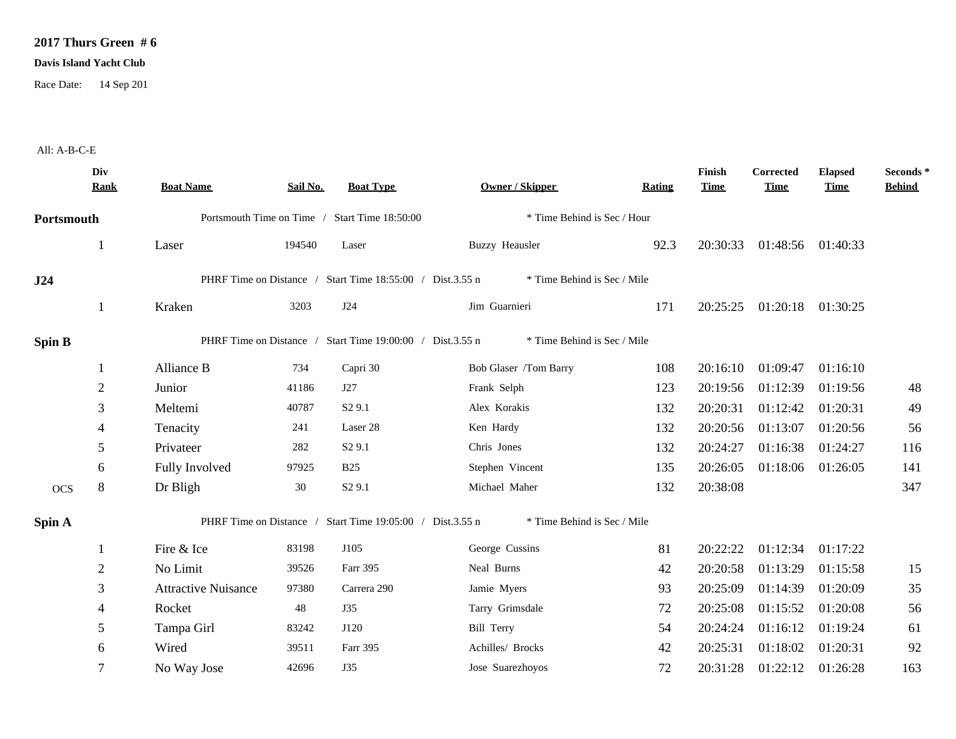## **2017 Thurs Green # 6**

## **Davis Island Yacht Club**

Race Date: 14 Sep 201

## All: A-B-C-E

|               | Div<br><b>Rank</b> | <b>Boat Name</b>                                                                         | Sail No. | <b>Boat Type</b>                                          | <b>Owner / Skipper</b>      | <b>Rating</b> | Finish<br><b>Time</b> | <b>Corrected</b><br><b>Time</b> | <b>Elapsed</b><br><b>Time</b> | Seconds *<br><b>Behind</b> |  |
|---------------|--------------------|------------------------------------------------------------------------------------------|----------|-----------------------------------------------------------|-----------------------------|---------------|-----------------------|---------------------------------|-------------------------------|----------------------------|--|
| Portsmouth    |                    | Portsmouth Time on Time / Start Time 18:50:00                                            |          | * Time Behind is Sec / Hour                               |                             |               |                       |                                 |                               |                            |  |
|               |                    | Laser                                                                                    | 194540   | Laser                                                     | <b>Buzzy Heausler</b>       | 92.3          | 20:30:33              | 01:48:56 01:40:33               |                               |                            |  |
| J24           |                    | PHRF Time on Distance / Start Time 18:55:00 / Dist.3.55 n<br>* Time Behind is Sec / Mile |          |                                                           |                             |               |                       |                                 |                               |                            |  |
|               | 1                  | Kraken                                                                                   | 3203     | J24                                                       | Jim Guarnieri               | 171           | 20:25:25              | 01:20:18 01:30:25               |                               |                            |  |
| <b>Spin B</b> |                    |                                                                                          |          | PHRF Time on Distance / Start Time 19:00:00 / Dist.3.55 n | * Time Behind is Sec / Mile |               |                       |                                 |                               |                            |  |
|               |                    | Alliance B                                                                               | 734      | Capri 30                                                  | Bob Glaser /Tom Barry       | 108           | 20:16:10              | 01:09:47                        | 01:16:10                      |                            |  |
|               | $\overline{c}$     | Junior                                                                                   | 41186    | J27                                                       | Frank Selph                 | 123           | 20:19:56              | 01:12:39                        | 01:19:56                      | 48                         |  |
|               | 3                  | Meltemi                                                                                  | 40787    | S <sub>2</sub> 9.1                                        | Alex Korakis                | 132           | 20:20:31              | 01:12:42                        | 01:20:31                      | 49                         |  |
|               | $\overline{4}$     | Tenacity                                                                                 | 241      | Laser 28                                                  | Ken Hardy                   | 132           | 20:20:56              | 01:13:07                        | 01:20:56                      | 56                         |  |
|               | 5                  | Privateer                                                                                | 282      | S <sub>2</sub> 9.1                                        | Chris Jones                 | 132           | 20:24:27              | 01:16:38                        | 01:24:27                      | 116                        |  |
|               | 6                  | Fully Involved                                                                           | 97925    | <b>B25</b>                                                | Stephen Vincent             | 135           | 20:26:05              | 01:18:06                        | 01:26:05                      | 141                        |  |
| <b>OCS</b>    | 8                  | Dr Bligh                                                                                 | 30       | S <sub>2</sub> 9.1                                        | Michael Maher               | 132           | 20:38:08              |                                 |                               | 347                        |  |
| Spin A        |                    | PHRF Time on Distance / Start Time 19:05:00 / Dist.3.55 n<br>* Time Behind is Sec / Mile |          |                                                           |                             |               |                       |                                 |                               |                            |  |
|               |                    | Fire & Ice                                                                               | 83198    | J105                                                      | George Cussins              | 81            | 20:22:22              | 01:12:34                        | 01:17:22                      |                            |  |
|               | 2                  | No Limit                                                                                 | 39526    | Farr 395                                                  | Neal Burns                  | 42            | 20:20:58              | 01:13:29                        | 01:15:58                      | 15                         |  |
|               | 3                  | <b>Attractive Nuisance</b>                                                               | 97380    | Carrera 290                                               | Jamie Myers                 | 93            | 20:25:09              | 01:14:39                        | 01:20:09                      | 35                         |  |
|               | 4                  | Rocket                                                                                   | 48       | <b>J35</b>                                                | Tarry Grimsdale             | 72            | 20:25:08              | 01:15:52                        | 01:20:08                      | 56                         |  |
|               | 5                  | Tampa Girl                                                                               | 83242    | J120                                                      | Bill Terry                  | 54            | 20:24:24              | 01:16:12                        | 01:19:24                      | 61                         |  |
|               | 6                  | Wired                                                                                    | 39511    | Farr 395                                                  | Achilles/ Brocks            | 42            | 20:25:31              | 01:18:02                        | 01:20:31                      | 92                         |  |
|               | $\overline{7}$     | No Way Jose                                                                              | 42696    | J35                                                       | Jose Suarezhoyos            | 72            | 20:31:28              | 01:22:12                        | 01:26:28                      | 163                        |  |